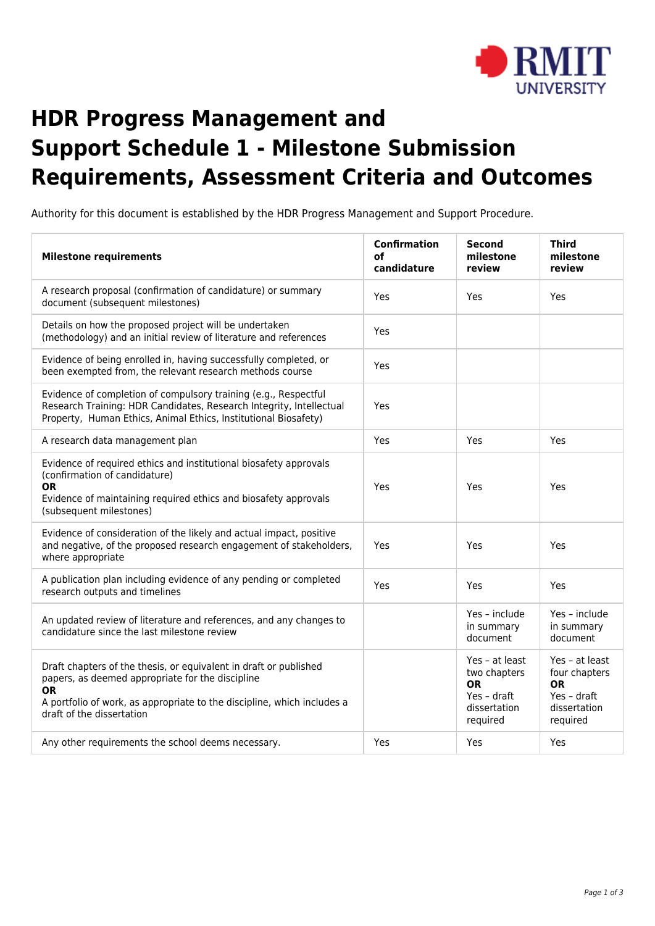

## **HDR Progress Management and Support Schedule 1 - Milestone Submission Requirements, Assessment Criteria and Outcomes**

Authority for this document is established by the HDR Progress Management and Support Procedure.

| <b>Milestone requirements</b>                                                                                                                                                                                                              | <b>Confirmation</b><br>οf<br>candidature | <b>Second</b><br>milestone<br>review                                                   | <b>Third</b><br>milestone<br>review                                                     |
|--------------------------------------------------------------------------------------------------------------------------------------------------------------------------------------------------------------------------------------------|------------------------------------------|----------------------------------------------------------------------------------------|-----------------------------------------------------------------------------------------|
| A research proposal (confirmation of candidature) or summary<br>document (subsequent milestones)                                                                                                                                           | Yes                                      | Yes                                                                                    | Yes                                                                                     |
| Details on how the proposed project will be undertaken<br>(methodology) and an initial review of literature and references                                                                                                                 | Yes                                      |                                                                                        |                                                                                         |
| Evidence of being enrolled in, having successfully completed, or<br>been exempted from, the relevant research methods course                                                                                                               | Yes                                      |                                                                                        |                                                                                         |
| Evidence of completion of compulsory training (e.g., Respectful<br>Research Training: HDR Candidates, Research Integrity, Intellectual<br>Property, Human Ethics, Animal Ethics, Institutional Biosafety)                                  | Yes                                      |                                                                                        |                                                                                         |
| A research data management plan                                                                                                                                                                                                            | Yes                                      | Yes                                                                                    | Yes                                                                                     |
| Evidence of required ethics and institutional biosafety approvals<br>(confirmation of candidature)<br>0R<br>Evidence of maintaining required ethics and biosafety approvals<br>(subsequent milestones)                                     | Yes                                      | Yes                                                                                    | Yes                                                                                     |
| Evidence of consideration of the likely and actual impact, positive<br>and negative, of the proposed research engagement of stakeholders,<br>where appropriate                                                                             | Yes                                      | Yes                                                                                    | Yes                                                                                     |
| A publication plan including evidence of any pending or completed<br>research outputs and timelines                                                                                                                                        | Yes                                      | Yes                                                                                    | Yes                                                                                     |
| An updated review of literature and references, and any changes to<br>candidature since the last milestone review                                                                                                                          |                                          | Yes - include<br>in summary<br>document                                                | Yes - include<br>in summary<br>document                                                 |
| Draft chapters of the thesis, or equivalent in draft or published<br>papers, as deemed appropriate for the discipline<br><b>OR</b><br>A portfolio of work, as appropriate to the discipline, which includes a<br>draft of the dissertation |                                          | Yes - at least<br>two chapters<br><b>OR</b><br>Yes - draft<br>dissertation<br>required | Yes - at least<br>four chapters<br><b>OR</b><br>Yes - draft<br>dissertation<br>required |
| Any other requirements the school deems necessary.                                                                                                                                                                                         | Yes                                      | Yes                                                                                    | Yes                                                                                     |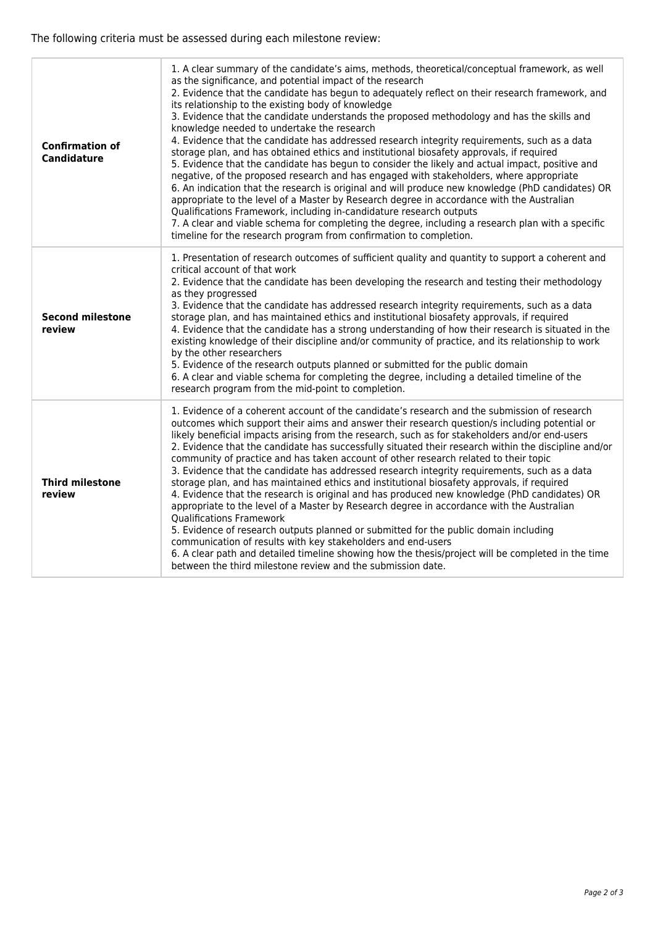The following criteria must be assessed during each milestone review:

| <b>Confirmation of</b><br><b>Candidature</b> | 1. A clear summary of the candidate's aims, methods, theoretical/conceptual framework, as well<br>as the significance, and potential impact of the research<br>2. Evidence that the candidate has begun to adequately reflect on their research framework, and<br>its relationship to the existing body of knowledge<br>3. Evidence that the candidate understands the proposed methodology and has the skills and<br>knowledge needed to undertake the research<br>4. Evidence that the candidate has addressed research integrity requirements, such as a data<br>storage plan, and has obtained ethics and institutional biosafety approvals, if required<br>5. Evidence that the candidate has begun to consider the likely and actual impact, positive and<br>negative, of the proposed research and has engaged with stakeholders, where appropriate<br>6. An indication that the research is original and will produce new knowledge (PhD candidates) OR<br>appropriate to the level of a Master by Research degree in accordance with the Australian<br>Qualifications Framework, including in-candidature research outputs<br>7. A clear and viable schema for completing the degree, including a research plan with a specific<br>timeline for the research program from confirmation to completion. |
|----------------------------------------------|----------------------------------------------------------------------------------------------------------------------------------------------------------------------------------------------------------------------------------------------------------------------------------------------------------------------------------------------------------------------------------------------------------------------------------------------------------------------------------------------------------------------------------------------------------------------------------------------------------------------------------------------------------------------------------------------------------------------------------------------------------------------------------------------------------------------------------------------------------------------------------------------------------------------------------------------------------------------------------------------------------------------------------------------------------------------------------------------------------------------------------------------------------------------------------------------------------------------------------------------------------------------------------------------------------------|
| <b>Second milestone</b><br>review            | 1. Presentation of research outcomes of sufficient quality and quantity to support a coherent and<br>critical account of that work<br>2. Evidence that the candidate has been developing the research and testing their methodology<br>as they progressed<br>3. Evidence that the candidate has addressed research integrity requirements, such as a data<br>storage plan, and has maintained ethics and institutional biosafety approvals, if required<br>4. Evidence that the candidate has a strong understanding of how their research is situated in the<br>existing knowledge of their discipline and/or community of practice, and its relationship to work<br>by the other researchers<br>5. Evidence of the research outputs planned or submitted for the public domain<br>6. A clear and viable schema for completing the degree, including a detailed timeline of the<br>research program from the mid-point to completion.                                                                                                                                                                                                                                                                                                                                                                         |
| <b>Third milestone</b><br>review             | 1. Evidence of a coherent account of the candidate's research and the submission of research<br>outcomes which support their aims and answer their research question/s including potential or<br>likely beneficial impacts arising from the research, such as for stakeholders and/or end-users<br>2. Evidence that the candidate has successfully situated their research within the discipline and/or<br>community of practice and has taken account of other research related to their topic<br>3. Evidence that the candidate has addressed research integrity requirements, such as a data<br>storage plan, and has maintained ethics and institutional biosafety approvals, if required<br>4. Evidence that the research is original and has produced new knowledge (PhD candidates) OR<br>appropriate to the level of a Master by Research degree in accordance with the Australian<br><b>Qualifications Framework</b><br>5. Evidence of research outputs planned or submitted for the public domain including<br>communication of results with key stakeholders and end-users<br>6. A clear path and detailed timeline showing how the thesis/project will be completed in the time<br>between the third milestone review and the submission date.                                                     |